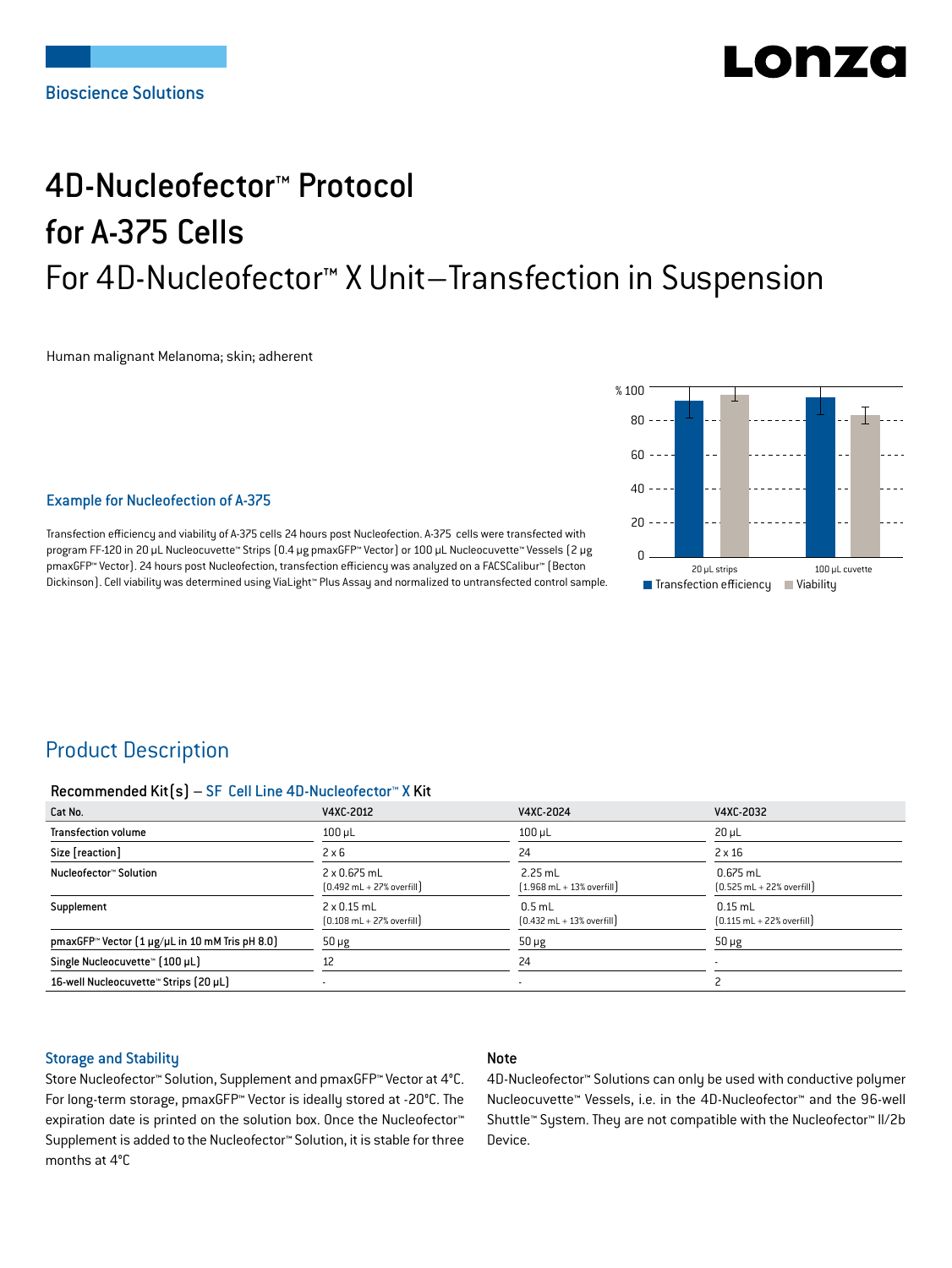# LONZ

# 4D-Nucleofector™ Protocol for A-375 Cells For 4D-Nucleofector™ X Unit–Transfection in Suspension

Human malignant Melanoma; skin; adherent



#### Example for Nucleofection of A-375

Transfection efficiency and viability of A-375 cells 24 hours post Nucleofection. A-375 cells were transfected with program FF-120 in 20 μL Nucleocuvette™ Strips (0.4 μg pmaxGFP™ Vector) or 100 μL Nucleocuvette™ Vessels (2 μg pmaxGFP™ Vector). 24 hours post Nucleofection, transfection efficiency was analyzed on a FACSCalibur™ (Becton Dickinson). Cell viability was determined using ViaLight™ Plus Assay and normalized to untransfected control sample.

## Product Description

#### Recommended Kit(s) – SF Cell Line 4D-Nucleofector™ X Kit

| Cat No.                                                            | V4XC-2012                                                           | V4XC-2024                                                 | V4XC-2032                                                  |
|--------------------------------------------------------------------|---------------------------------------------------------------------|-----------------------------------------------------------|------------------------------------------------------------|
| <b>Transfection volume</b>                                         | $100 \mu L$                                                         | $100 \mu L$                                               | $20 \mu L$                                                 |
| Size [reaction]                                                    | $2 \times 6$                                                        | 24                                                        | $2 \times 16$                                              |
| Nucleofector™ Solution                                             | $2 \times 0.675$ mL<br>$[0.492 \text{ mL} + 27\% \text{ overfill}]$ | $2.25$ mL<br>$(1.968 \text{ mL} + 13\% \text{ overfill})$ | $0.675$ mL<br>$[0.525 \text{ mL} + 22\% \text{ overfill}]$ |
| Supplement                                                         | $2 \times 0.15$ mL<br>$[0.108 \text{ mL} + 27\% \text{ overfill}]$  | $0.5$ mL<br>$[0.432 \text{ mL} + 13\% \text{ overfill}]$  | $0.15$ mL<br>$[0.115 \text{ mL} + 22\% \text{ overfill}]$  |
| pmaxGFP <sup>*</sup> Vector $[1 \mu g/\mu L$ in 10 mM Tris pH 8.0) | $50 \mu g$                                                          | $50 \mu g$                                                | $50 \mu g$                                                 |
| Single Nucleocuvette™ [100 µL]                                     | 12                                                                  | 24                                                        |                                                            |
| 16-well Nucleocuvette™ Strips (20 µL)                              |                                                                     | ۰                                                         |                                                            |

#### Storage and Stability

#### Note

Store Nucleofector™ Solution, Supplement and pmaxGFP™ Vector at 4°C. For long-term storage, pmaxGFP™ Vector is ideally stored at -20°C. The expiration date is printed on the solution box. Once the Nucleofector™ Supplement is added to the Nucleofector™ Solution, it is stable for three months at 4°C

4D-Nucleofector™ Solutions can only be used with conductive polymer Nucleocuvette™ Vessels, i.e. in the 4D-Nucleofector™ and the 96-well Shuttle™ System. They are not compatible with the Nucleofector™ II/2b Device.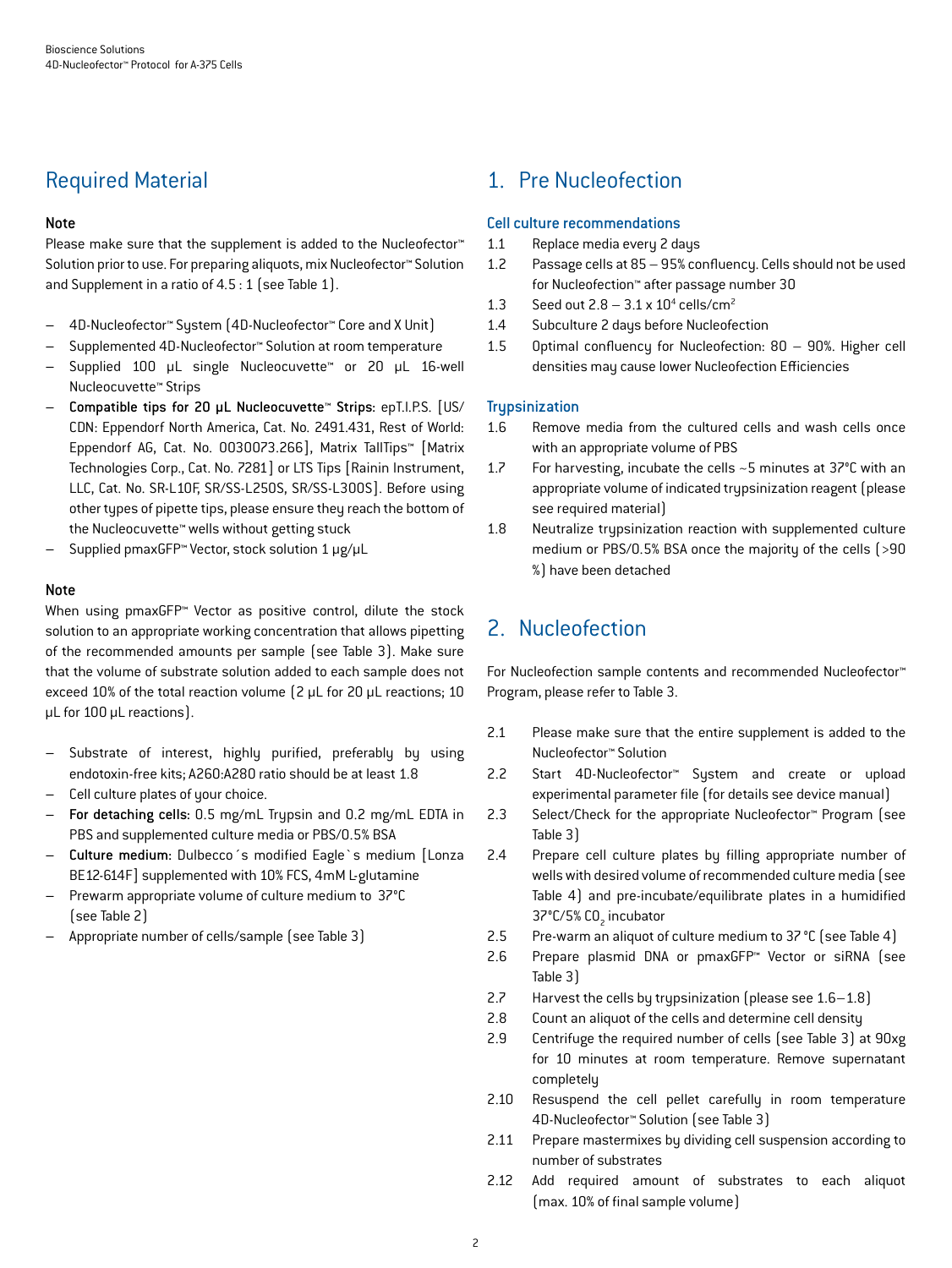## Required Material

### Note

Please make sure that the supplement is added to the Nucleofector<sup>™</sup> Solution prior to use. For preparing aliquots, mix Nucleofector™ Solution and Supplement in a ratio of 4.5 : 1 (see Table 1).

- 4D-Nucleofector™ System (4D-Nucleofector™ Core and X Unit)
- Supplemented 4D-Nucleofector™ Solution at room temperature
- Supplied 100 µL single Nucleocuvette™ or 20 µL 16-well Nucleocuvette™ Strips
- Compatible tips for 20 µL Nucleocuvette™ Strips: epT.I.P.S. [US/ CDN: Eppendorf North America, Cat. No. 2491.431, Rest of World: Eppendorf AG, Cat. No. 0030073.266], Matrix TallTips™ [Matrix Technologies Corp., Cat. No. 7281] or LTS Tips [Rainin Instrument, LLC, Cat. No. SR-L10F, SR/SS-L250S, SR/SS-L300S]. Before using other types of pipette tips, please ensure they reach the bottom of the Nucleocuvette™ wells without getting stuck
- Supplied pmaxGFP™ Vector, stock solution 1 μg/μL

#### Note

When using pmaxGFP™ Vector as positive control, dilute the stock solution to an appropriate working concentration that allows pipetting of the recommended amounts per sample (see Table 3). Make sure that the volume of substrate solution added to each sample does not exceed 10% of the total reaction volume (2 μL for 20 μL reactions; 10 μL for 100 μL reactions).

- Substrate of interest, highly purified, preferably by using endotoxin-free kits; A260:A280 ratio should be at least 1.8
- Cell culture plates of your choice.
- For detaching cells: 0.5 mg/mL Trypsin and 0.2 mg/mL EDTA in PBS and supplemented culture media or PBS/0.5% BSA
- Culture medium: Dulbecco´s modified Eagle`s medium [Lonza BE12-614F] supplemented with 10% FCS, 4mM L-glutamine
- Prewarm appropriate volume of culture medium to 37°C (see Table 2)
- Appropriate number of cells/sample (see Table 3)

## 1. Pre Nucleofection

#### Cell culture recommendations

- 1.1 Replace media every 2 days
- 1.2 Passage cells at 85 95% confluency. Cells should not be used for Nucleofection™ after passage number 30
- 1.3 Seed out  $2.8 3.1 \times 10^4$  cells/cm<sup>2</sup>
- 1.4 Subculture 2 days before Nucleofection
- 1.5 Optimal confluency for Nucleofection: 80 90%. Higher cell densities may cause lower Nucleofection Efficiencies

### **Trupsinization**

- 1.6 Remove media from the cultured cells and wash cells once with an appropriate volume of PBS
- 1.7 For harvesting, incubate the cells ~5 minutes at 37°C with an appropriate volume of indicated trypsinization reagent (please see required material)
- 1.8 Neutralize trypsinization reaction with supplemented culture medium or PBS/0.5% BSA once the majority of the cells (>90 %) have been detached

## 2. Nucleofection

For Nucleofection sample contents and recommended Nucleofector™ Program, please refer to Table 3.

- 2.1 Please make sure that the entire supplement is added to the Nucleofector™ Solution
- 2.2 Start 4D-Nucleofector™ System and create or upload experimental parameter file (for details see device manual)
- 2.3 Select/Check for the appropriate Nucleofector™ Program (see Table 3)
- 2.4 Prepare cell culture plates by filling appropriate number of wells with desired volume of recommended culture media (see Table 4) and pre-incubate/equilibrate plates in a humidified 37°C/5% CO<sub>2</sub> incubator
- 2.5 Pre-warm an aliquot of culture medium to 37°C (see Table 4)
- 2.6 Prepare plasmid DNA or pmaxGFP™ Vector or siRNA (see Table 3)
- 2.7 Harvest the cells by trypsinization (please see 1.6–1.8)
- 2.8 Count an aliquot of the cells and determine cell density
- 2.9 Centrifuge the required number of cells (see Table 3) at 90xg for 10 minutes at room temperature. Remove supernatant completely
- 2.10 Resuspend the cell pellet carefully in room temperature 4D-Nucleofector™ Solution (see Table 3)
- 2.11 Prepare mastermixes by dividing cell suspension according to number of substrates
- 2.12 Add required amount of substrates to each aliquot (max. 10% of final sample volume)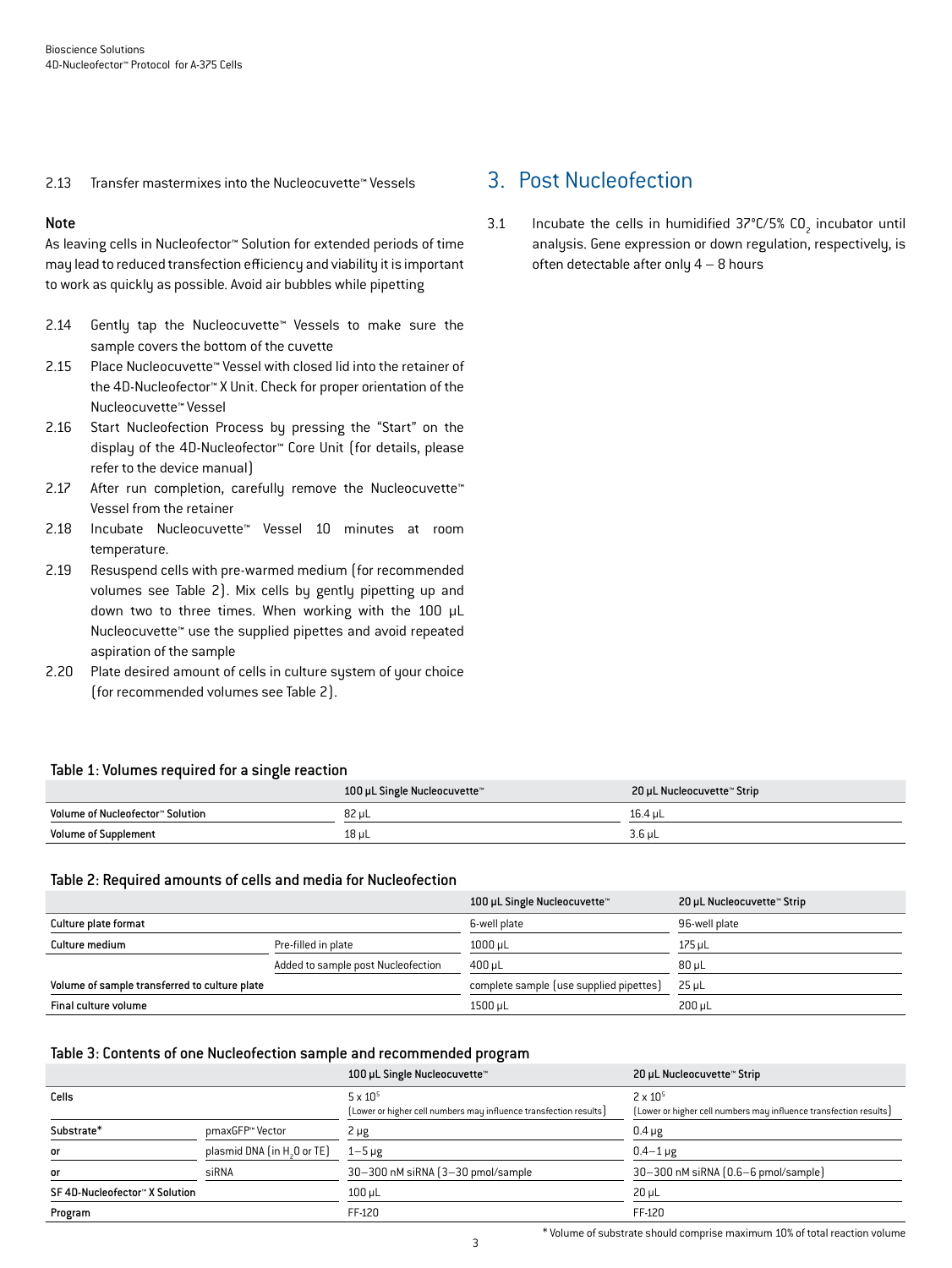2.13 Transfer mastermixes into the Nucleocuvette™ Vessels

#### Note

As leaving cells in Nucleofector™ Solution for extended periods of time may lead to reduced transfection efficiency and viability it is important to work as quickly as possible. Avoid air bubbles while pipetting

- 2.14 Gently tap the Nucleocuvette™ Vessels to make sure the sample covers the bottom of the cuvette
- 2.15 Place Nucleocuvette™ Vessel with closed lid into the retainer of the 4D-Nucleofector™ X Unit. Check for proper orientation of the Nucleocuvette™ Vessel
- 2.16 Start Nucleofection Process by pressing the "Start" on the display of the 4D-Nucleofector™ Core Unit (for details, please refer to the device manual)
- 2.17 After run completion, carefully remove the Nucleocuvette™ Vessel from the retainer
- 2.18 Incubate Nucleocuvette™ Vessel 10 minutes at room temperature.
- 2.19 Resuspend cells with pre-warmed medium (for recommended volumes see Table 2). Mix cells by gently pipetting up and down two to three times. When working with the 100 µL Nucleocuvette™ use the supplied pipettes and avoid repeated aspiration of the sample
- 2.20 Plate desired amount of cells in culture system of your choice (for recommended volumes see Table 2).

#### Table 1: Volumes required for a single reaction

|                                  | 100 µL Single Nucleocuvette™ | 20 µL Nucleocuvette™ Strip |
|----------------------------------|------------------------------|----------------------------|
| Volume of Nucleofector™ Solution | 82 uL                        | 16.4 uL                    |
| <b>Volume of Supplement</b>      | 18 µL                        | $3.6$ uL                   |

### Table 2: Required amounts of cells and media for Nucleofection

|                                               |                                    | 100 µL Single Nucleocuvette™            | 20 µL Nucleocuvette™ Strip |
|-----------------------------------------------|------------------------------------|-----------------------------------------|----------------------------|
| Culture plate format                          |                                    | 6-well plate                            | 96-well plate              |
| Culture medium                                | Pre-filled in plate                | 1000 µL                                 | $175$ µL                   |
|                                               | Added to sample post Nucleofection | $400 \mu L$                             | $80 \mu L$                 |
| Volume of sample transferred to culture plate |                                    | complete sample (use supplied pipettes) | $25 \mu L$                 |
| Final culture volume                          |                                    | 1500 µL                                 | $200 \mu L$                |

### Table 3: Contents of one Nucleofection sample and recommended program

|                                         | 100 µL Single Nucleocuvette™       | 20 µL Nucleocuvette™ Strip                                        |
|-----------------------------------------|------------------------------------|-------------------------------------------------------------------|
|                                         | $5 \times 10^{5}$                  | $2 \times 10^{5}$                                                 |
|                                         |                                    | (Lower or higher cell numbers may influence transfection results) |
| pmaxGFP™ Vector                         | 2 µg                               | $0.4 \mu g$                                                       |
| plasmid DNA (in H <sub>2</sub> O or TE) | $1-5 \mu g$                        | $0.4 - 1 \mu g$                                                   |
| siRNA                                   | 30-300 nM siRNA (3-30 pmol/sample) | 30-300 nM siRNA (0.6-6 pmol/sample)                               |
|                                         | $100 \mu L$                        | $20 \mu L$                                                        |
|                                         | FF-120                             | FF-120                                                            |
|                                         |                                    | [Lower or higher cell numbers may influence transfection results] |

## 3. Post Nucleofection

3.1 Incubate the cells in humidified  $37^{\circ}$ C/5% CO<sub>2</sub> incubator until analysis. Gene expression or down regulation, respectively, is often detectable after only  $4 - 8$  hours

\* Volume of substrate should comprise maximum 10% of total reaction volume